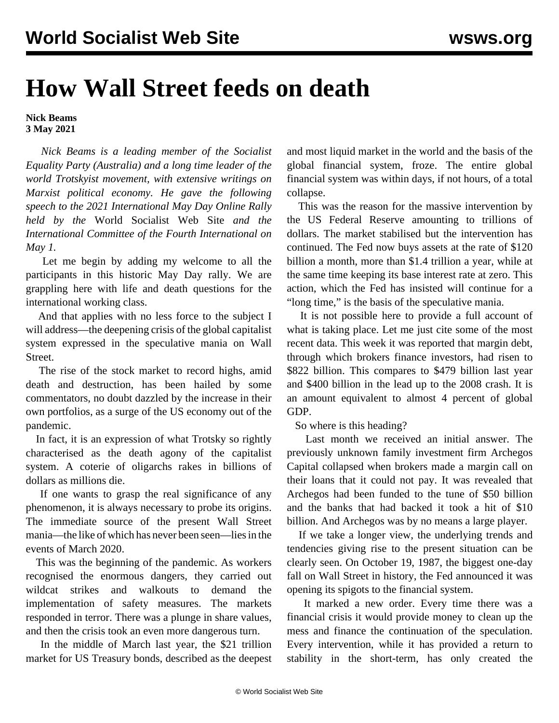## **How Wall Street feeds on death**

**Nick Beams 3 May 2021**

 *Nick Beams is a leading member of the Socialist Equality Party (Australia) and a long time leader of the world Trotskyist movement, with extensive writings on Marxist political economy. He gave the following speech to the 2021 International May Day Online Rally held by the* World Socialist Web Site *and the International Committee of the Fourth International on May 1.*

 Let me begin by adding my welcome to all the participants in this historic May Day rally. We are grappling here with life and death questions for the international working class.

 And that applies with no less force to the subject I will address—the deepening crisis of the global capitalist system expressed in the speculative mania on Wall Street.

 The rise of the stock market to record highs, amid death and destruction, has been hailed by some commentators, no doubt dazzled by the increase in their own portfolios, as a surge of the US economy out of the pandemic.

 In fact, it is an expression of what Trotsky so rightly characterised as the death agony of the capitalist system. A coterie of oligarchs rakes in billions of dollars as millions die.

 If one wants to grasp the real significance of any phenomenon, it is always necessary to probe its origins. The immediate source of the present Wall Street mania—the like of which has never been seen—lies in the events of March 2020.

 This was the beginning of the pandemic. As workers recognised the enormous dangers, they carried out wildcat strikes and walkouts to demand the implementation of safety measures. The markets responded in terror. There was a plunge in share values, and then the crisis took an even more dangerous turn.

 In the middle of March last year, the \$21 trillion market for US Treasury bonds, described as the deepest and most liquid market in the world and the basis of the global financial system, froze. The entire global financial system was within days, if not hours, of a total collapse.

 This was the reason for the massive intervention by the US Federal Reserve amounting to trillions of dollars. The market stabilised but the intervention has continued. The Fed now buys assets at the rate of \$120 billion a month, more than \$1.4 trillion a year, while at the same time keeping its base interest rate at zero. This action, which the Fed has insisted will continue for a "long time," is the basis of the speculative mania.

 It is not possible here to provide a full account of what is taking place. Let me just cite some of the most recent data. This week it was reported that margin debt, through which brokers finance investors, had risen to \$822 billion. This compares to \$479 billion last year and \$400 billion in the lead up to the 2008 crash. It is an amount equivalent to almost 4 percent of global GDP.

So where is this heading?

 Last month we received an initial answer. The previously unknown family investment firm Archegos Capital collapsed when brokers made a margin call on their loans that it could not pay. It was revealed that Archegos had been funded to the tune of \$50 billion and the banks that had backed it took a hit of \$10 billion. And Archegos was by no means a large player.

 If we take a longer view, the underlying trends and tendencies giving rise to the present situation can be clearly seen. On October 19, 1987, the biggest one-day fall on Wall Street in history, the Fed announced it was opening its spigots to the financial system.

 It marked a new order. Every time there was a financial crisis it would provide money to clean up the mess and finance the continuation of the speculation. Every intervention, while it has provided a return to stability in the short-term, has only created the